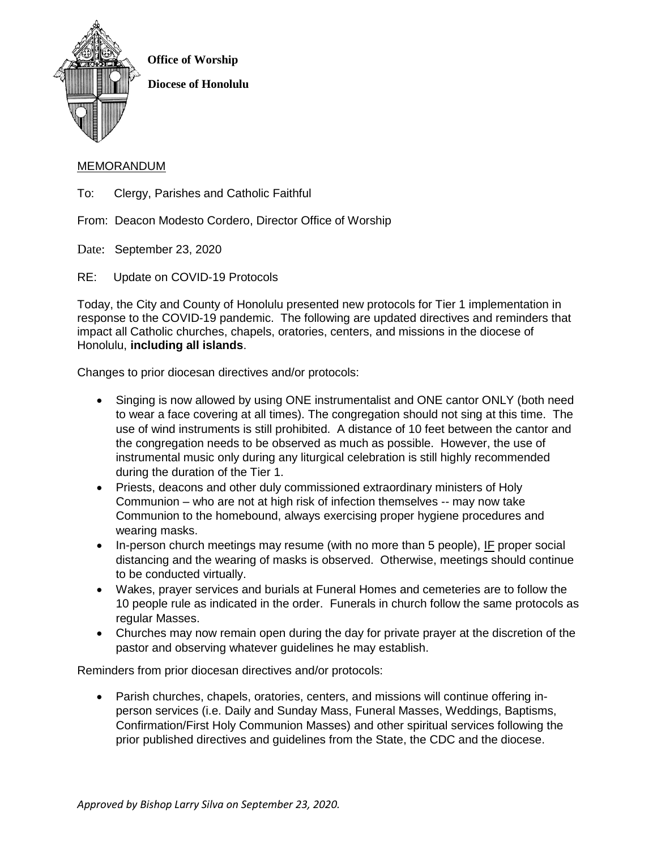

## MEMORANDUM

To: Clergy, Parishes and Catholic Faithful

From: Deacon Modesto Cordero, Director Office of Worship

Date: September 23, 2020

RE: Update on COVID-19 Protocols

Today, the City and County of Honolulu presented new protocols for Tier 1 implementation in response to the COVID-19 pandemic. The following are updated directives and reminders that impact all Catholic churches, chapels, oratories, centers, and missions in the diocese of Honolulu, **including all islands**.

Changes to prior diocesan directives and/or protocols:

- Singing is now allowed by using ONE instrumentalist and ONE cantor ONLY (both need to wear a face covering at all times). The congregation should not sing at this time. The use of wind instruments is still prohibited. A distance of 10 feet between the cantor and the congregation needs to be observed as much as possible. However, the use of instrumental music only during any liturgical celebration is still highly recommended during the duration of the Tier 1.
- Priests, deacons and other duly commissioned extraordinary ministers of Holy Communion – who are not at high risk of infection themselves -- may now take Communion to the homebound, always exercising proper hygiene procedures and wearing masks.
- In-person church meetings may resume (with no more than 5 people), IF proper social distancing and the wearing of masks is observed. Otherwise, meetings should continue to be conducted virtually.
- Wakes, prayer services and burials at Funeral Homes and cemeteries are to follow the 10 people rule as indicated in the order. Funerals in church follow the same protocols as regular Masses.
- Churches may now remain open during the day for private prayer at the discretion of the pastor and observing whatever guidelines he may establish.

Reminders from prior diocesan directives and/or protocols:

 Parish churches, chapels, oratories, centers, and missions will continue offering inperson services (i.e. Daily and Sunday Mass, Funeral Masses, Weddings, Baptisms, Confirmation/First Holy Communion Masses) and other spiritual services following the prior published directives and guidelines from the State, the CDC and the diocese.